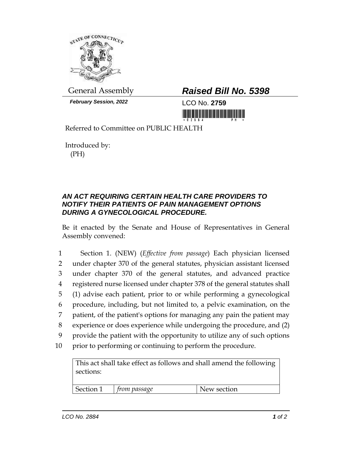

*February Session, 2022* LCO No. **2759**

## General Assembly *Raised Bill No. 5398*

<u> III di kacamatan ing Kabupatèn Bandaran Ing Kabupatèn Bandaran Ing Kabupatèn Bandaran Ing Kabupatèn Bandaran </u>

Referred to Committee on PUBLIC HEALTH

Introduced by: (PH)

## *AN ACT REQUIRING CERTAIN HEALTH CARE PROVIDERS TO NOTIFY THEIR PATIENTS OF PAIN MANAGEMENT OPTIONS DURING A GYNECOLOGICAL PROCEDURE.*

Be it enacted by the Senate and House of Representatives in General Assembly convened:

 Section 1. (NEW) (*Effective from passage*) Each physician licensed under chapter 370 of the general statutes, physician assistant licensed under chapter 370 of the general statutes, and advanced practice registered nurse licensed under chapter 378 of the general statutes shall (1) advise each patient, prior to or while performing a gynecological procedure, including, but not limited to, a pelvic examination, on the patient, of the patient's options for managing any pain the patient may experience or does experience while undergoing the procedure, and (2) provide the patient with the opportunity to utilize any of such options prior to performing or continuing to perform the procedure.

This act shall take effect as follows and shall amend the following sections:

Section 1 *from passage* New section